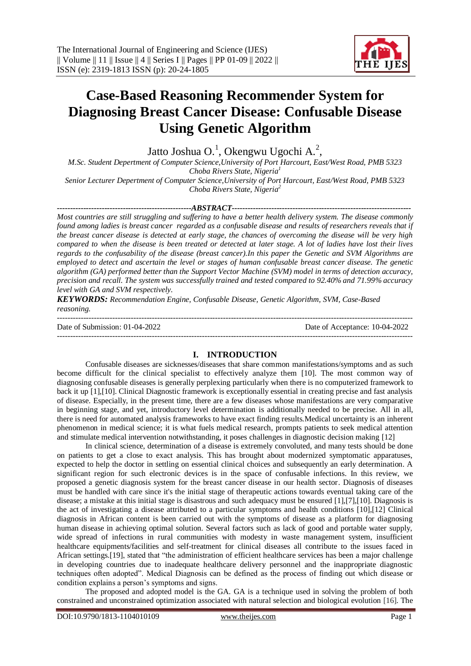

# **Case-Based Reasoning Recommender System for Diagnosing Breast Cancer Disease: Confusable Disease Using Genetic Algorithm**

Jatto Joshua O.<sup>1</sup>, Okengwu Ugochi A.<sup>2</sup>,

*M.Sc. Student Depertment of Computer Science,University of Port Harcourt, East/West Road, PMB 5323 Choba Rivers State, Nigeria<sup>1</sup> Senior Lecturer Depertment of Computer Science,University of Port Harcourt, East/West Road, PMB 5323* 

*Choba Rivers State, Nigeria<sup>2</sup>*

*---------------------------------------------------ABSTRACT-------------------------------------------------------------------- Most countries are still struggling and suffering to have a better health delivery system. The disease commonly found among ladies is breast cancer regarded as a confusable disease and results of researchers reveals that if the breast cancer disease is detected at early stage, the chances of overcoming the disease will be very high compared to when the disease is been treated or detected at later stage. A lot of ladies have lost their lives regards to the confusability of the disease (breast cancer).In this paper the Genetic and SVM Algorithms are employed to detect and ascertain the level or stages of human confusable breast cancer disease. The genetic algorithm (GA) performed better than the Support Vector Machine (SVM) model in terms of detection accuracy, precision and recall. The system was successfully trained and tested compared to 92.40% and 71.99% accuracy level with GA and SVM respectively.*

*KEYWORDS: Recommendation Engine, Confusable Disease, Genetic Algorithm, SVM, Case-Based reasoning.* ---------------------------------------------------------------------------------------------------------------------------------------

Date of Submission: 01-04-2022 Date of Acceptance: 10-04-2022

---------------------------------------------------------------------------------------------------------------------------------------

## **I. INTRODUCTION**

Confusable diseases are sicknesses/diseases that share common manifestations/symptoms and as such become difficult for the clinical specialist to effectively analyze them [10]. The most common way of diagnosing confusable diseases is generally perplexing particularly when there is no computerized framework to back it up [1],[10]. Clinical Diagnostic framework is exceptionally essential in creating precise and fast analysis of disease. Especially, in the present time, there are a few diseases whose manifestations are very comparative in beginning stage, and yet, introductory level determination is additionally needed to be precise. All in all, there is need for automated analysis frameworks to have exact finding results.Medical uncertainty is an inherent phenomenon in medical science; it is what fuels medical research, prompts patients to seek medical attention and stimulate medical intervention notwithstanding, it poses challenges in diagnostic decision making [12]

In clinical science, determination of a disease is extremely convoluted, and many tests should be done on patients to get a close to exact analysis. This has brought about modernized symptomatic apparatuses, expected to help the doctor in settling on essential clinical choices and subsequently an early determination. A significant region for such electronic devices is in the space of confusable infections. In this review, we proposed a genetic diagnosis system for the breast cancer disease in our health sector. Diagnosis of diseases must be handled with care since it's the initial stage of therapeutic actions towards eventual taking care of the disease; a mistake at this initial stage is disastrous and such adequacy must be ensured [1],[7],[10]. Diagnosis is the act of investigating a disease attributed to a particular symptoms and health conditions [10],[12] Clinical diagnosis in African content is been carried out with the symptoms of disease as a platform for diagnosing human disease in achieving optimal solution. Several factors such as lack of good and portable water supply, wide spread of infections in rural communities with modesty in waste management system, insufficient healthcare equipments/facilities and self-treatment for clinical diseases all contribute to the issues faced in African settings.[19], stated that "the administration of efficient healthcare services has been a major challenge in developing countries due to inadequate healthcare delivery personnel and the inappropriate diagnostic techniques often adopted". Medical Diagnosis can be defined as the process of finding out which disease or condition explains a person's symptoms and signs.

The proposed and adopted model is the GA. GA is a technique used in solving the problem of both constrained and unconstrained optimization associated with natural selection and biological evolution [16]. The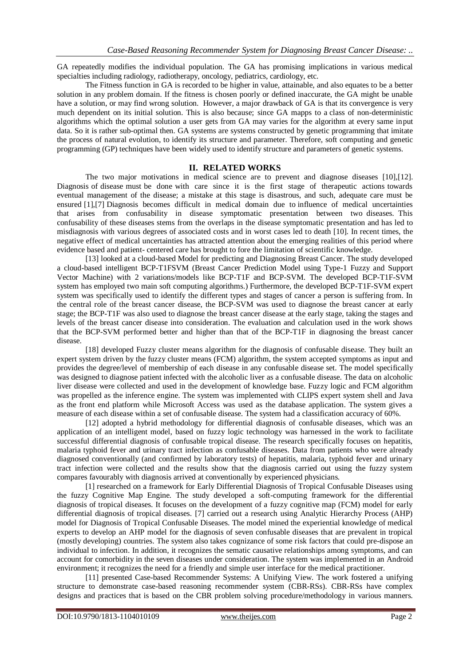GA repeatedly modifies the individual population. The GA has promising implications in various medical specialties including radiology, radiotherapy, oncology, pediatrics, cardiology, etc.

The Fitness function in GA is recorded to be higher in value, attainable, and also equates to be a better solution in any problem domain. If the fitness is chosen poorly or defined inaccurate, the GA might be unable have a solution, or may find wrong solution. However, a major drawback of GA is that its convergence is very much dependent on its initial solution. This is also because; since GA mapps to a class of non-deterministic algorithms which the optimal solution a user gets from GA may varies for the algorithm at every same input data. So it is rather sub-optimal then. GA systems are [systems](https://en.wikipedia.org/wiki/Fuzzy_system) constructed by genetic programming that imitate the process of natural evolution, to identify its structure and parameter. Therefore, soft computing and genetic programming (GP) techniques have been widely used to identify structure and parameters of genetic systems.

## **II. RELATED WORKS**

The two major motivations in medical science are to prevent and diagnose diseases [10],[12]. Diagnosis of disease must be done with care since it is the first stage of therapeutic actions towards eventual management of the disease; a mistake at this stage is disastrous, and such, adequate care must be ensured [1],[7] Diagnosis becomes difficult in medical domain due to influence of medical uncertainties that arises from confusability in disease symptomatic presentation between two diseases. This confusability of these diseases stems from the overlaps in the disease symptomatic presentation and has led to misdiagnosis with various degrees of associated costs and in worst cases led to death [10]. In recent times, the negative effect of medical uncertainties has attracted attention about the emerging realities of this period where evidence based and patient- centered care has brought to fore the limitation of scientific knowledge.

[13] looked at a cloud-based Model for predicting and Diagnosing Breast Cancer. The study developed a cloud-based intelligent BCP-T1FSVM (Breast Cancer Prediction Model using Type-1 Fuzzy and Support Vector Machine) with 2 variations/models like BCP-T1F and BCP-SVM. The developed BCP-T1F-SVM system has employed two main soft computing algorithms.) Furthermore, the developed BCP-T1F-SVM expert system was specifically used to identify the different types and stages of cancer a person is suffering from. In the central role of the breast cancer disease, the BCP-SVM was used to diagnose the breast cancer at early stage; the BCP-T1F was also used to diagnose the breast cancer disease at the early stage, taking the stages and levels of the breast cancer disease into consideration. The evaluation and calculation used in the work shows that the BCP-SVM performed better and higher than that of the BCP-T1F in diagnosing the breast cancer disease.

[18] developed Fuzzy cluster means algorithm for the diagnosis of confusable disease. They built an expert system driven by the fuzzy cluster means (FCM) algorithm, the system accepted symptoms as input and provides the degree/level of membership of each disease in any confusable disease set. The model specifically was designed to diagnose patient infected with the alcoholic liver as a confusable disease. The data on alcoholic liver disease were collected and used in the development of knowledge base. Fuzzy logic and FCM algorithm was propelled as the inference engine. The system was implemented with CLIPS expert system shell and Java as the front end platform while Microsoft Access was used as the database application. The system gives a measure of each disease within a set of confusable disease. The system had a classification accuracy of 60%.

[12] adopted a hybrid methodology for differential diagnosis of confusable diseases, which was an application of an intelligent model, based on fuzzy logic technology was harnessed in the work to facilitate successful differential diagnosis of confusable tropical disease. The research specifically focuses on hepatitis, malaria typhoid fever and urinary tract infection as confusable diseases. Data from patients who were already diagnosed conventionally (and confirmed by laboratory tests) of hepatitis, malaria, typhoid fever and urinary tract infection were collected and the results show that the diagnosis carried out using the fuzzy system compares favourably with diagnosis arrived at conventionally by experienced physicians.

[1] researched on a framework for Early Differential Diagnosis of Tropical Confusable Diseases using the fuzzy Cognitive Map Engine. The study developed a soft-computing framework for the differential diagnosis of tropical diseases. It focuses on the development of a fuzzy cognitive map (FCM) model for early differential diagnosis of tropical diseases. [7] carried out a research using Analytic Hierarchy Process (AHP) model for Diagnosis of Tropical Confusable Diseases. The model mined the experiential knowledge of medical experts to develop an AHP model for the diagnosis of seven confusable diseases that are prevalent in tropical (mostly developing) countries. The system also takes cognizance of some risk factors that could pre-dispose an individual to infection. In addition, it recognizes the sematic causative relationships among symptoms, and can account for comorbidity in the seven diseases under consideration. The system was implemented in an Android environment; it recognizes the need for a friendly and simple user interface for the medical practitioner.

[11] presented Case-based Recommender Systems: A Unifying View. The work fostered a unifying structure to demonstrate case-based reasoning recommender system (CBR-RSs). CBR-RSs have complex designs and practices that is based on the CBR problem solving procedure/methodology in various manners.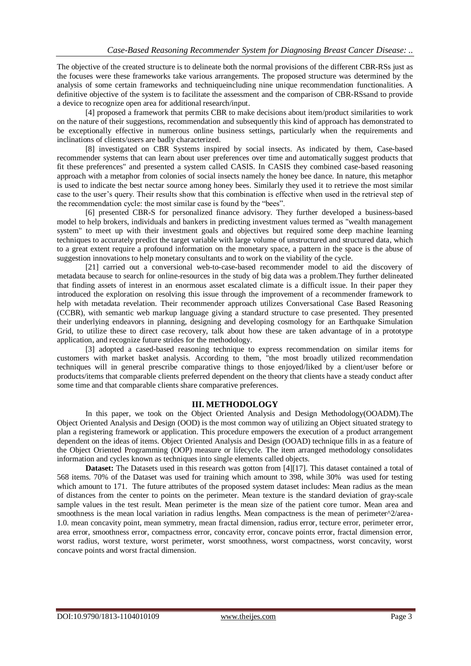The objective of the created structure is to delineate both the normal provisions of the different CBR-RSs just as the focuses were these frameworks take various arrangements. The proposed structure was determined by the analysis of some certain frameworks and techniqueincluding nine unique recommendation functionalities. A definitive objective of the system is to facilitate the assessment and the comparison of CBR-RSsand to provide a device to recognize open area for additional research/input.

[4] proposed a framework that permits CBR to make decisions about item/product similarities to work on the nature of their suggestions, recommendation and subsequently this kind of approach has demonstrated to be exceptionally effective in numerous online business settings, particularly when the requirements and inclinations of clients/users are badly characterized.

[8] investigated on CBR Systems inspired by social insects. As indicated by them, Case-based recommender systems that can learn about user preferences over time and automatically suggest products that fit these preferences" and presented a system called CASIS. In CASIS they combined case-based reasoning approach with a metaphor from colonies of social insects namely the honey bee dance. In nature, this metaphor is used to indicate the best nectar source among honey bees. Similarly they used it to retrieve the most similar case to the user's query. Their results show that this combination is effective when used in the retrieval step of the recommendation cycle: the most similar case is found by the "bees".

[6] presented CBR-S for personalized finance advisory. They further developed a business-based model to help brokers, individuals and bankers in predicting investment values termed as "wealth management system" to meet up with their investment goals and objectives but required some deep machine learning techniques to accurately predict the target variable with large volume of unstructured and structured data, which to a great extent require a profound information on the monetary space, a pattern in the space is the abuse of suggestion innovations to help monetary consultants and to work on the viability of the cycle.

[21] carried out a conversional web-to-case-based recommender model to aid the discovery of metadata because to search for online-resources in the study of big data was a problem.They further delineated that finding assets of interest in an enormous asset escalated climate is a difficult issue. In their paper they introduced the exploration on resolving this issue through the improvement of a recommender framework to help with metadata revelation. Their recommender approach utilizes Conversational Case Based Reasoning (CCBR), with semantic web markup language giving a standard structure to case presented. They presented their underlying endeavors in planning, designing and developing cosmology for an Earthquake Simulation Grid, to utilize these to direct case recovery, talk about how these are taken advantage of in a prototype application, and recognize future strides for the methodology.

[3] adopted a cased-based reasoning technique to express recommendation on similar items for customers with market basket analysis. According to them, "the most broadly utilized recommendation techniques will in general prescribe comparative things to those enjoyed/liked by a client/user before or products/items that comparable clients preferred dependent on the theory that clients have a steady conduct after some time and that comparable clients share comparative preferences.

## **III. METHODOLOGY**

In this paper, we took on the Object Oriented Analysis and Design Methodology(OOADM).The Object Oriented Analysis and Design (OOD) is the most common way of utilizing an Object situated strategy to plan a registering framework or application. This procedure empowers the execution of a product arrangement dependent on the ideas of items. Object Oriented Analysis and Design (OOAD) technique fills in as a feature of the Object Oriented Programming (OOP) measure or lifecycle. The item arranged methodology consolidates information and cycles known as techniques into single elements called objects.

**Dataset:** The Datasets used in this research was gotton from [4][17]. This dataset contained a total of 568 items. 70% of the Dataset was used for training which amount to 398, while 30% was used for testing which amount to 171. The future attributes of the proposed system dataset includes: Mean radius as the mean of distances from the center to points on the perimeter. Mean texture is the standard deviation of gray-scale sample values in the test result. Mean perimeter is the mean size of the patient core tumor. Mean area and smoothness is the mean local variation in radius lengths. Mean compactness is the mean of perimeter^2/area-1.0. mean concavity point, mean symmetry, mean fractal dimension, radius error, tecture error, perimeter error, area error, smoothness error, compactness error, concavity error, concave points error, fractal dimension error, worst radius, worst texture, worst perimeter, worst smoothness, worst compactness, worst concavity, worst concave points and worst fractal dimension.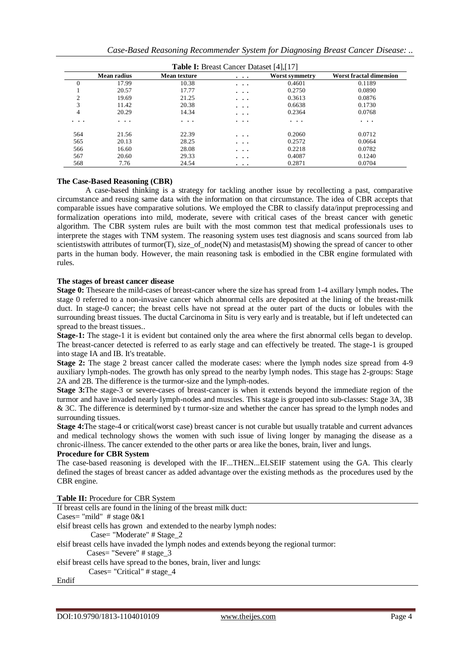|                |                    |                     | <b>Table I:</b> Breast Cancer Dataset [4], [17] |                |                                |
|----------------|--------------------|---------------------|-------------------------------------------------|----------------|--------------------------------|
|                | <b>Mean radius</b> | <b>Mean texture</b> | $\cdots$                                        | Worst symmetry | <b>Worst fractal dimension</b> |
| $\Omega$       | 17.99              | 10.38               | $\cdot$ $\cdot$ $\cdot$                         | 0.4601         | 0.1189                         |
|                | 20.57              | 17.77               | $\cdots$                                        | 0.2750         | 0.0890                         |
| $\overline{c}$ | 19.69              | 21.25               | $\cdots$                                        | 0.3613         | 0.0876                         |
| 3              | 11.42              | 20.38               | $\cdots$                                        | 0.6638         | 0.1730                         |
| 4              | 20.29              | 14.34               | $\cdots$                                        | 0.2364         | 0.0768                         |
| $\cdots$       | $\cdots$           | $\cdots$            | $\cdots$                                        | $\cdots$       | .                              |
| 564            | 21.56              | 22.39               | $\cdots$                                        | 0.2060         | 0.0712                         |
| 565            | 20.13              | 28.25               | $\cdots$                                        | 0.2572         | 0.0664                         |
| 566            | 16.60              | 28.08               | $\cdots$                                        | 0.2218         | 0.0782                         |
| 567            | 20.60              | 29.33               | $\cdots$                                        | 0.4087         | 0.1240                         |
| 568            | 7.76               | 24.54               | $\cdots$                                        | 0.2871         | 0.0704                         |

### **The Case-Based Reasoning (CBR)**

A case-based thinking is a strategy for tackling another issue by recollecting a past, comparative circumstance and reusing same data with the information on that circumstance. The idea of CBR accepts that comparable issues have comparative solutions. We employed the CBR to classify data/input preprocessing and formalization operations into mild, moderate, severe with critical cases of the breast cancer with genetic algorithm. The CBR system rules are built with the most common test that medical professionals uses to interprete the stages with TNM system. The reasoning system uses test diagnosis and scans sourced from lab scientists with attributes of turmor(T), size\_of\_node(N) and metastasis(M) showing the spread of cancer to other parts in the human body. However, the main reasoning task is embodied in the CBR engine formulated with rules.

## **The stages of breast cancer disease**

**Stage 0:** Theseare the mild-cases of breast-cancer where the size has spread from 1-4 axillary lymph nodes**.** The stage 0 referred to a non-invasive cancer which abnormal cells are deposited at the lining of the breast-milk duct. In stage-0 cancer; the breast cells have not spread at the outer part of the ducts or lobules with the surrounding breast tissues. The ductal Carcinoma in Situ is very early and is treatable, but if left undetected can spread to the breast tissues..

**Stage-1:** The stage-1 it is evident but contained only the area where the first abnormal cells began to develop. The breast-cancer detected is referred to as early stage and can effectively be treated. The stage-1 is grouped into stage IA and IB. It's treatable.

**Stage 2:** The stage 2 breast cancer called the moderate cases: where the lymph nodes size spread from 4-9 auxiliary lymph-nodes. The growth has only spread to the nearby lymph nodes. This stage has 2-groups: Stage 2A and 2B. The difference is the turmor-size and the lymph-nodes.

**Stage 3:**The stage-3 or severe-cases of breast-cancer is when it extends beyond the immediate region of the turmor and have invaded nearly lymph-nodes and muscles. This stage is grouped into sub-classes: Stage 3A, 3B & 3C. The difference is determined by t turmor-size and whether the cancer has spread to the lymph nodes and surrounding tissues.

**Stage 4:**The stage-4 or critical(worst case) breast cancer is not curable but usually tratable and current advances and medical technology shows the women with such issue of living longer by managing the disease as a chronic-illness. The cancer extended to the other parts or area like the bones, brain, liver and lungs.

## **Procedure for CBR System**

The case-based reasoning is developed with the IF...THEN...ELSEIF statement using the GA. This clearly defined the stages of breast cancer as added advantage over the existing methods as the procedures used by the CBR engine.

| Table II: Procedure for CBR System                                                      |
|-----------------------------------------------------------------------------------------|
| If breast cells are found in the lining of the breast milk duct:                        |
| Cases= "mild" # stage $0&4$                                                             |
| elsif breast cells has grown and extended to the nearby lymph nodes:                    |
| Case= "Moderate" # Stage_2                                                              |
| elsif breast cells have invaded the lymph nodes and extends beyong the regional turmor: |
| $\text{Case}$ "Severe" # stage 3                                                        |
| elsif breast cells have spread to the bones, brain, liver and lungs:                    |
| Cases= "Critical" $\#$ stage 4                                                          |
| Endif                                                                                   |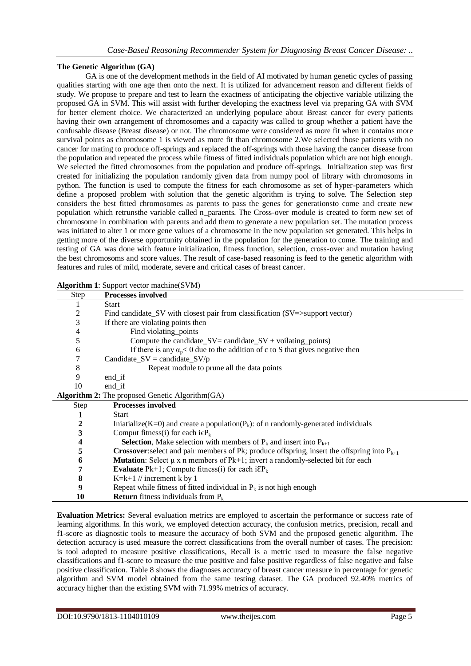## **The Genetic Algorithm (GA)**

GA is one of the development methods in the field of AI motivated by human genetic cycles of passing qualities starting with one age then onto the next. It is utilized for advancement reason and different fields of study. We propose to prepare and test to learn the exactness of anticipating the objective variable utilizing the proposed GA in SVM. This will assist with further developing the exactness level via preparing GA with SVM for better element choice. We characterized an underlying populace about Breast cancer for every patients having their own arrangement of chromosomes and a capacity was called to group whether a patient have the confusable disease (Breast disease) or not. The chromosome were considered as more fit when it contains more survival points as chromosome 1 is viewed as more fit than chromosome 2.We selected those patients with no cancer for mating to produce off-springs and replaced the off-springs with those having the cancer disease from the population and repeated the process while fitness of fitted individuals population which are not high enough. We selected the fitted chromosomes from the population and produce off-springs. Initialization step was first created for initializing the population randomly given data from numpy pool of library with chromosoms in python. The function is used to compute the fitness for each chromosome as set of hyper-parameters which define a proposed problem with solution that the genetic algorithm is trying to solve. The Selection step considers the best fitted chromosomes as parents to pass the genes for generationsto come and create new population which retrunsthe variable called n paraents. The Cross-over module is created to form new set of chromosome in combination with parents and add them to generate a new population set. The mutation process was initiated to alter 1 or more gene values of a chromosome in the new population set generated. This helps in getting more of the diverse opportunity obtained in the population for the generation to come. The training and testing of GA was done with feature initialization, fitness function, selection, cross-over and mutation having the best chromosoms and score values. The result of case-based reasoning is feed to the genetic algorithm with features and rules of mild, moderate, severe and critical cases of breast cancer.

| Step             | <b>Processes involved</b>                                                                               |
|------------------|---------------------------------------------------------------------------------------------------------|
|                  | <b>Start</b>                                                                                            |
| 2                | Find candidate_SV with closest pair from classification (SV=>support vector)                            |
| 3                | If there are violating points then                                                                      |
| 4                | Find violating points                                                                                   |
| 5                | Compute the candidate_ $SV =$ candidate_ $SV +$ voilating_points)                                       |
| 6                | If there is any $\alpha_p < 0$ due to the addition of c to S that gives negative then                   |
| 7                | Candidate_ $SV =$ candidate_ $SV/p$                                                                     |
| 8                | Repeat module to prune all the data points                                                              |
| 9                | $end_i$ if                                                                                              |
| 10               | end_if                                                                                                  |
|                  | <b>Algorithm 2:</b> The proposed Genetic Algorithm (GA)                                                 |
| <b>Step</b>      | <b>Processes involved</b>                                                                               |
| 1                | <b>Start</b>                                                                                            |
| $\boldsymbol{2}$ | Iniatialize(K=0) and create a population( $P_k$ ): of n randomly-generated individuals                  |
| 3                | Comput fitness(i) for each $i \in P_k$                                                                  |
| 4                | <b>Selection</b> , Make selection with members of $P_k$ and insert into $P_{k+1}$                       |
| 5                | <b>Crossover:</b> select and pair members of Pk; produce offspring, insert the offspring into $P_{k+1}$ |
| 6                | <b>Mutation:</b> Select $\mu$ x n members of Pk+1; invert a randomly-selected bit for each              |
| 7                | <b>Evaluate</b> Pk+1; Compute fitness(i) for each $i\epsilon P_k$                                       |
| 8                | K=k+1 $\#$ increment k by 1                                                                             |
| 9                | Repeat while fitness of fitted individual in $P_k$ is not high enough                                   |
| 10               | <b>Return</b> fitness individuals from $P_k$                                                            |

**Algorithm 1**: Support vector machine(SVM)

**Evaluation Metrics:** Several evaluation metrics are employed to ascertain the performance or success rate of learning algorithms. In this work, we employed detection accuracy, the confusion metrics, precision, recall and f1-score as diagnostic tools to measure the accuracy of both SVM and the proposed genetic algorithm. The detection accuracy is used measure the correct classifications from the overall number of cases. The precision: is tool adopted to measure positive classifications, Recall is a metric used to measure the false negative classifications and f1-score to measure the true positive and false positive regardless of false negative and false positive classification. Table 8 shows the diagnoses accuracy of breast cancer measure in percentage for genetic algorithm and SVM model obtained from the same testing dataset. The GA produced 92.40% metrics of accuracy higher than the existing SVM with 71.99% metrics of accuracy.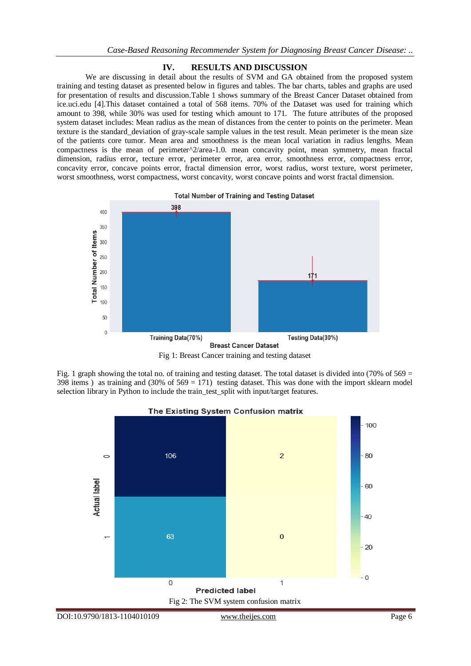## **IV. RESULTS AND DISCUSSION**

We are discussing in detail about the results of SVM and GA obtained from the proposed system training and testing dataset as presented below in figures and tables. The bar charts, tables and graphs are used for presentation of results and discussion.Table 1 shows summary of the Breast Cancer Dataset obtained from ice.uci.edu [4].This dataset contained a total of 568 items. 70% of the Dataset was used for training which amount to 398, while 30% was used for testing which amount to 171. The future attributes of the proposed system dataset includes: Mean radius as the mean of distances from the center to points on the perimeter. Mean texture is the standard\_deviation of gray-scale sample values in the test result. Mean perimeter is the mean size of the patients core tumor. Mean area and smoothness is the mean local variation in radius lengths. Mean compactness is the mean of perimeter^2/area-1.0. mean concavity point, mean symmetry, mean fractal dimension, radius error, tecture error, perimeter error, area error, smoothness error, compactness error, concavity error, concave points error, fractal dimension error, worst radius, worst texture, worst perimeter, worst smoothness, worst compactness, worst concavity, worst concave points and worst fractal dimension.



**Total Number of Training and Testing Dataset** 

Fig 1: Breast Cancer training and testing dataset

Fig. 1 graph showing the total no. of training and testing dataset. The total dataset is divided into (70% of  $569 =$ 398 items ) as training and  $(30\% \text{ of } 569 = 171)$  testing dataset. This was done with the import sklearn model selection library in Python to include the train\_test\_split with input/target features.



The Existing System Confusion matrix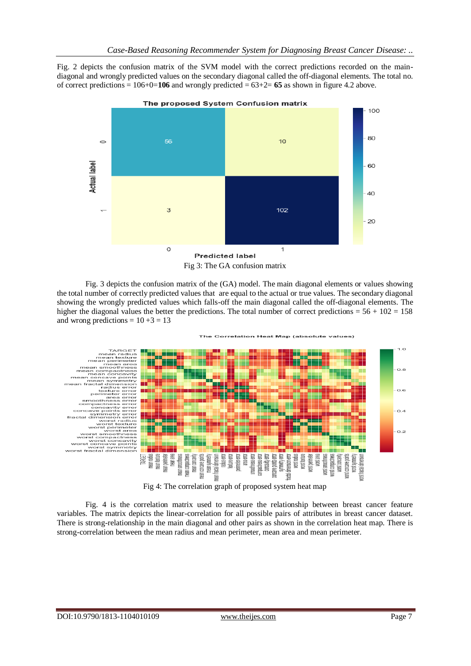Fig. 2 depicts the confusion matrix of the SVM model with the correct predictions recorded on the maindiagonal and wrongly predicted values on the secondary diagonal called the off-diagonal elements. The total no. of correct predictions  $= 106+0=106$  and wrongly predicted  $= 63+2= 65$  as shown in figure 4.2 above.



Fig 3: The GA confusion matrix

Fig. 3 depicts the confusion matrix of the (GA) model. The main diagonal elements or values showing the total number of correctly predicted values that are equal to the actual or true values. The secondary diagonal showing the wrongly predicted values which falls-off the main diagonal called the off-diagonal elements. The higher the diagonal values the better the predictions. The total number of correct predictions =  $56 + 102 = 158$ and wrong predictions =  $10+3 = 13$ 



Fig 4: The correlation graph of proposed system heat map

Fig. 4 is the correlation matrix used to measure the relationship between breast cancer feature variables. The matrix depicts the linear-correlation for all possible pairs of attributes in breast cancer dataset. There is strong-relationship in the main diagonal and other pairs as shown in the correlation heat map. There is strong-correlation between the mean radius and mean perimeter, mean area and mean perimeter.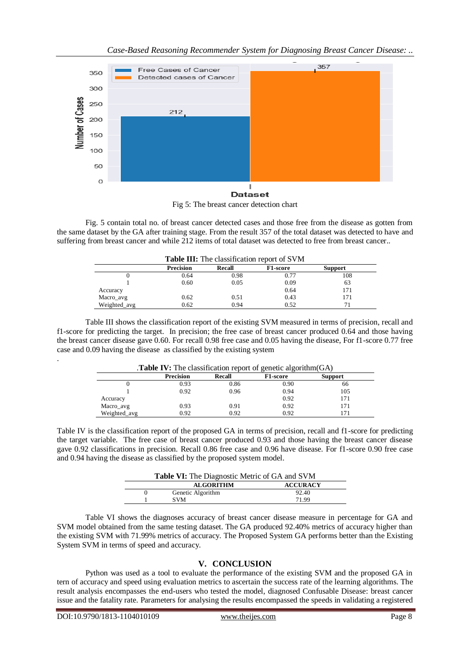

Fig 5: The breast cancer detection chart

Fig. 5 contain total no. of breast cancer detected cases and those free from the disease as gotten from the same dataset by the GA after training stage. From the result 357 of the total dataset was detected to have and suffering from breast cancer and while 212 items of total dataset was detected to free from breast cancer..

|              |                  |        | <b>Table III:</b> The classification report of SVM |                |
|--------------|------------------|--------|----------------------------------------------------|----------------|
|              | <b>Precision</b> | Recall | F1-score                                           | <b>Support</b> |
|              | 0.64             | 0.98   | 0.77                                               | 108            |
|              | 0.60             | 0.05   | 0.09                                               | 63             |
| Accuracy     |                  |        | 0.64                                               | 171            |
| Macro_avg    | 0.62             | 0.51   | 0.43                                               | 171            |
| Weighted_avg | 0.62             | 0.94   | 0.52                                               |                |

Table III shows the classification report of the existing SVM measured in terms of precision, recall and f1-score for predicting the target. In precision; the free case of breast cancer produced 0.64 and those having the breast cancer disease gave 0.60. For recall 0.98 free case and 0.05 having the disease, For f1-score 0.77 free case and 0.09 having the disease as classified by the existing system

|              |                  | <b>Table IV:</b> The classification report of genetic algorithm $(GA)$ |                 |                |
|--------------|------------------|------------------------------------------------------------------------|-----------------|----------------|
|              | <b>Precision</b> | Recall                                                                 | <b>F1-score</b> | <b>Support</b> |
|              | 0.93             | 0.86                                                                   | 0.90            | 66             |
|              | 0.92             | 0.96                                                                   | 0.94            | 105            |
| Accuracy     |                  |                                                                        | 0.92            | 171            |
| Macro_avg    | 0.93             | 0.91                                                                   | 0.92            | 171            |
| Weighted avg | 0.92             | 0.92                                                                   | 0.92            |                |

Table IV is the classification report of the proposed GA in terms of precision, recall and f1-score for predicting the target variable. The free case of breast cancer produced 0.93 and those having the breast cancer disease gave 0.92 classifications in precision. Recall 0.86 free case and 0.96 have disease. For f1-score 0.90 free case and 0.94 having the disease as classified by the proposed system model.

| Table VI: The Diagnostic Metric of GA and SVM |                 |
|-----------------------------------------------|-----------------|
| <b>ALGORITHM</b>                              | <b>ACCURACY</b> |
| Genetic Algorithm                             | 92.40           |
| <b>SVM</b>                                    | 71.99           |

Table VI shows the diagnoses accuracy of breast cancer disease measure in percentage for GA and SVM model obtained from the same testing dataset. The GA produced 92.40% metrics of accuracy higher than the existing SVM with 71.99% metrics of accuracy. The Proposed System GA performs better than the Existing System SVM in terms of speed and accuracy.

## **V. CONCLUSION**

Python was used as a tool to evaluate the performance of the existing SVM and the proposed GA in tern of accuracy and speed using evaluation metrics to ascertain the success rate of the learning algorithms. The result analysis encompasses the end-users who tested the model, diagnosed Confusable Disease: breast cancer issue and the fatality rate. Parameters for analysing the results encompassed the speeds in validating a registered

.